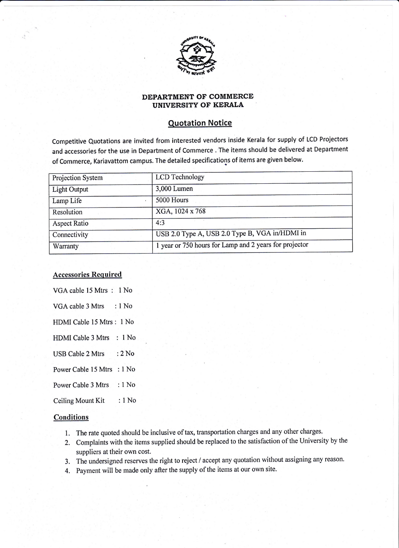

## DEPARTMENT OF COMMERCE UNIVERSITY OF KERALA

## Quotation Notice

Competitive Quotations are invited from interested vendors inside Kerala for supply of LCD Projectors and accessories for the use in Department of Commerce. The items should be delivered at Department of Commerce, Kariavattom campus. The detailed specifications of items are given below.

| Projection System   | <b>LCD</b> Technology                                  |
|---------------------|--------------------------------------------------------|
| Light Output        | 3,000 Lumen                                            |
| Lamp Life           | 5000 Hours                                             |
| Resolution          | XGA, 1024 x 768                                        |
| <b>Aspect Ratio</b> | 4:3                                                    |
| Connectivity        | USB 2.0 Type A, USB 2.0 Type B, VGA in/HDMI in         |
| Warranty            | 1 year or 750 hours for Lamp and 2 years for projector |

## Accessories Required

VGA cable 15 Mtrs : 1 No VGA cable 3 Mtrs : 1 No HDMI Cable 15 Mtrs: 1 No HDMI Cable 3 Mtrs : 1No USB Cable 2 Mtrs : 2 No Power Cable 15 Mtrs : 1 No Power Cable 3 Mtrs : 1 No

Ceiling Mount Kit : 1 No

## **Conditions**

- 1. The rate quoted should be inclusive of tax, transportation charges and any other charges.
- 2. Complaints with the items supplied should be replaced to the satisfaction of the University by the suppliers at their own cost.
- 3. The undersigned reserves the right to reject / accept any quotation without assigning any reason.
- 4. Payment will be made only after the supply of the items at our own site.